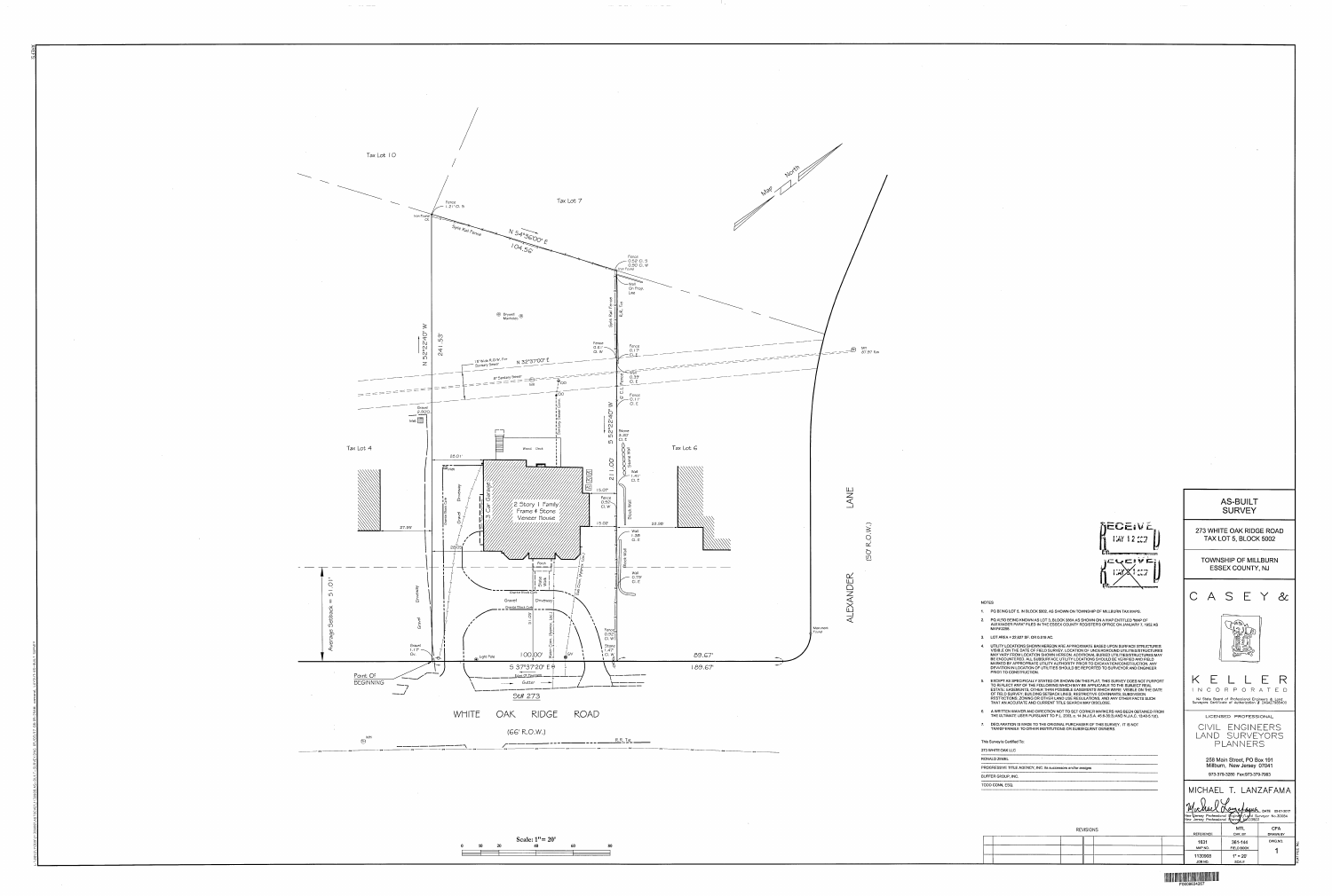











o tipo

المساعد بالمحادث المساعد لسار

 $\label{eq:2.1} \begin{array}{lllllllllllll} \mathbf{1}_{\mathbf{1}_{\mathbf{1}_{\mathbf{1}_{\mathbf{1}_{\mathbf{1}_{\mathbf{1}}}}\mathbf{1}_{\mathbf{1}_{\mathbf{1}}\mathbf{1}_{\mathbf{1}}\mathbf{1}_{\mathbf{1}}\mathbf{1}_{\mathbf{1}}\mathbf{1}_{\mathbf{1}}\mathbf{1}_{\mathbf{1}}\mathbf{1}_{\mathbf{1}}\mathbf{1}_{\mathbf{1}_{\mathbf{1}}\mathbf{1}_{\mathbf{1}}\mathbf{1}_{\mathbf{1}}\mathbf{1}_{\mathbf{1}}\mathbf{1}_{\mathbf{1$ 

 $0$  10 20 40

# 

REFERENCE

1631

MAP NO.

1130908 JOB NO.

| <b>REVISION:</b> |
|------------------|
|                  |

| PROGRESSIVE TITLE AGENCY, INC. its successors and/or assigns<br>BUFFER GROUP, INC.<br>TODD CONN, ESQ. |
|-------------------------------------------------------------------------------------------------------|
|                                                                                                       |
|                                                                                                       |
|                                                                                                       |
|                                                                                                       |

| 7. | DECLARATION IS MADE TO THE ORIGINAL PURCHASER OF THIS SURVEY. IT IS NOT<br>TRANSFERABLE TO OTHER INSTITUTIONS OR SUBSEQUENT OWNERS. |
|----|-------------------------------------------------------------------------------------------------------------------------------------|
|    | This Survey Is Certified To:                                                                                                        |
|    | 273 WHITE OAK LLC                                                                                                                   |
|    | RONALD ZEMEL                                                                                                                        |
|    | PROGRESSIVE TITLE AGENCY, INC. its successors and/or assigns                                                                        |
|    | BUFFER GROUP, INC.                                                                                                                  |
|    |                                                                                                                                     |

| 4. | UTILITY LOCATIONS SHOWN HEREON ARE APPROXIMATE BASED UPON SURFACE STRUCTURES<br>VISIBLE ON THE DATE OF FIELD SURVEY. LOCATION OF UNDERGROUND UTILITIES/STRUCTURES<br>MAY VARY FROM LOCATION SHOWN HEREON, ADDITIONAL BURIED UTILITIES/STRUCTURES MAY<br>BE ENCOUNTERED. ALL SUBSURFACE UTILITY LOCATIONS SHOULD BE VERIFIED AND FIELD<br>MARKED BY APPROPRIATE UTILITY AUTHORITY PRIOR TO EXCAVATION/CONSTRUCTION, ANY<br>DEVIATION IN LOCATION OF UTILITIES SHOULD BE REPORTED TO SURVEYOR AND ENGINEER<br><b>PRIOR TO CONSTRUCTION.</b> |
|----|-------------------------------------------------------------------------------------------------------------------------------------------------------------------------------------------------------------------------------------------------------------------------------------------------------------------------------------------------------------------------------------------------------------------------------------------------------------------------------------------------------------------------------------------|
| 5. | EXCEPT AS SPECIFICALLY STATED OR SHOWN ON THIS PLAT, THIS SURVEY DOES NOT PURPORT<br>TO REFLECT ANY OF THE FOLLOWING WHICH MAY BE APPLICABLE TO THE SUBJECT REAL<br>ESTATE: EASEMENTS, OTHER THAN POSSIBLE EASEMENTS WHICH WERE VISIBLE ON THE DATE<br>OF FIELD SURVEY: BUILDING SETBACK LINES: RESTRICTIVE COVENANTS: SUBDIVISION<br>RESTRICTIONS; ZONING OR OTHER LAND USE REGULATIONS, AND ANY OTHER FACTS SUCH<br>THAT AN ACCURATE AND CURRENT TITLE SEARCH MAY DISCLOSE.                                                             |

6. A WRITTEN WAIVER AND DIRECTION NOT TO SET CORNER MARKERS HAS BEEN OBTAINED FROM<br>THE ULTIMATE USER PURSUANT TO P.L. 2003, c. 14 (N.J.S.A. 45:8-36:3) AND N.J.A.C. 13:40-5.1(d).

THAT AN ACCURATE AND CURRENT TITLE SEARCH MAY DISCLOSE.

2. PQ ALSO BEING KNOWN AS LOT 3, BLOCK 386A AS SHOWN ON A MAP ENTITLED "MAP OF<br>ALEXANDER PARK" FILED IN THE ESSEX COUNTY REGISTER'S OFFICE ON JANUARY 7, 1952 AS

| OUIV          |
|---------------|
|               |
| 273 WHITE OAK |
| TAX LOT 5, BL |

| <b>SURVEY</b>           |
|-------------------------|
| 73 WHITE OAK RIDGE ROAI |
| TAX LOT 5, BLOCK 5002   |

**TOWNSHIP OF MILLBURN** 

**ESSEX COUNTY, NJ** 

CASEY &

(US

KELLER

INCORPORATED

NJ State Board of Professional Engineers & Land<br>Surveyors Certificate of Authorization # 24GA27985400

LICENSED PROFESSIONAL

CIVIL ENGINEERS<br>LAND SURVEYORS

PLANNERS

258 Main Street, PO Box 191 Millburn, New Jersey 07041 

MICHAEL T. LANZAFAMA

NEW WELL News of GUIN DATE 05-01-2017<br>New Versey Professional Prigincy / Land Surveyor No. 30084

**MTL** 

CHK. BY

361-144

FIELD BOOK  $1" = 20'$ <br>SCALE **CFA** 

**DRAWN BY** DWG.NO.

**AS-BUILT** 

| $EIVE$<br>12:237 |  |
|------------------|--|
|                  |  |

**REC**  $YAY$ 

 $FCVENE$ 

**NOTES** 1. PQ BEING LOT 5, IN BLOCK 5002, AS SHOWN ON TOWNSHIP OF MILLBURN TAX MAPS.

MAP#2258.

3. LOT AREA = 22,627 SF. OR 0.519 AC.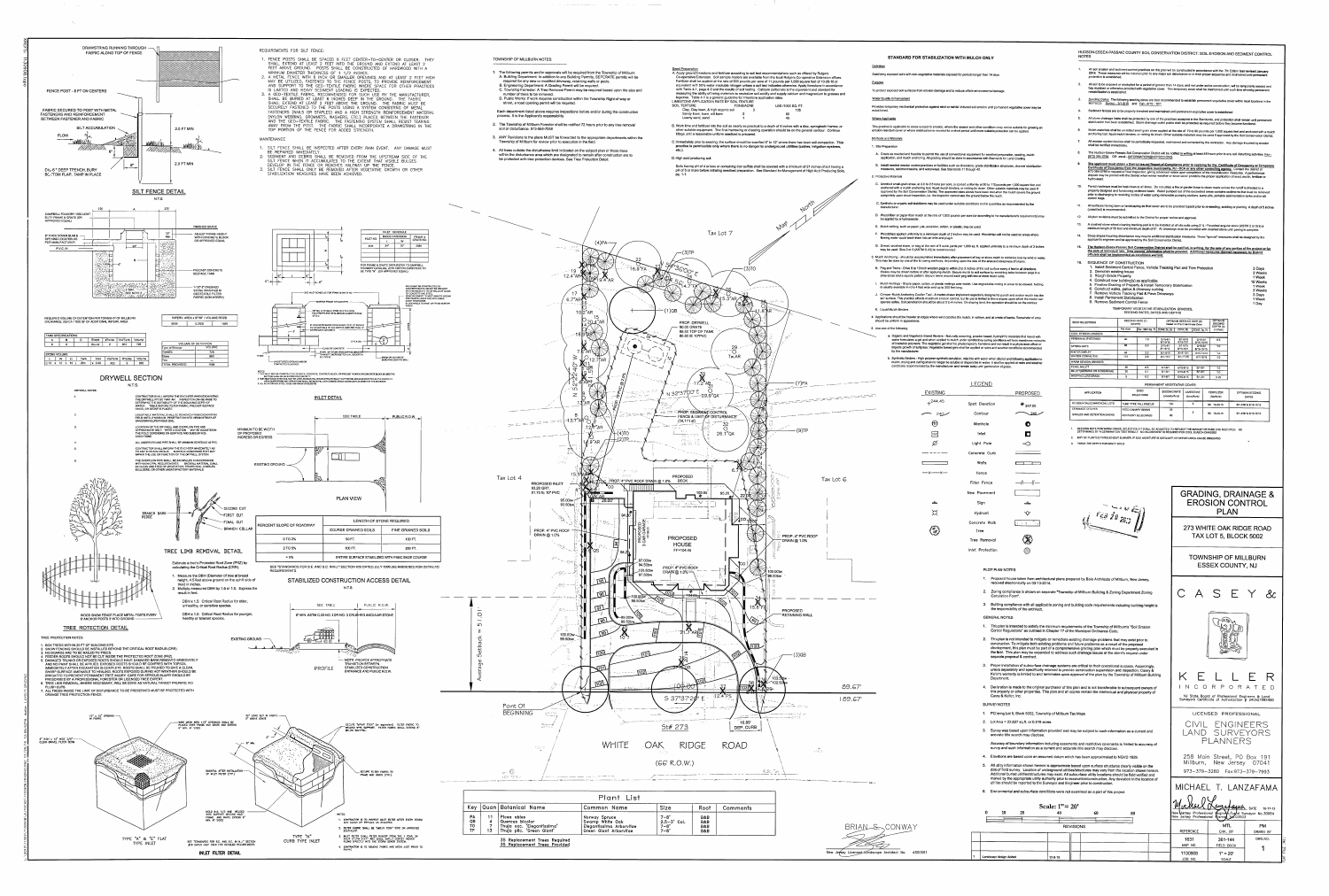

والموارد المستقلبات

### STANDARD FOR STABILIZATION WITH MULCH ONLY

Stabilizing exposed soils with non-vegetative materials exposed for periods longer than 14 days

To protect exposed soil surfaces from erosion damage and to reduce offsite environmental damage

Provides temporary mechanical protection against wind or rainfall induced soil erosion until permanent vegetative cover may be

This practice is applicable to areas subject to erosion, where the season and other conditions may not be suitable for growing an erosion-resistant cover or where stabilization is needed for a short period until more suitable protection can be applied.

A. Grade as needed and feasible to permit the use of conventional equipment for seedbed preparation, seeding, mulch application, and mulch anchoring. All grading should be done in accordance with Standards for Land Grading B. Install needed erosion control practices or facilities such as diversions, grade stabilization structures, channel stabilization measures, sediment basins, and waterways. See Standards 11 through 42.

C. Unrotted small-grain straw, at 2.0 to 2.5 tons per acre, is spread uniformly at 90 to 115 pounds per 1,000 square feet and anchored with a mulch anchoring tool, liquid mulch binders, or netting tie down. Other suitable materials may be used if approved by the Soil Conservation District. The approved rates above have been met when the mulch covers the ground ompletely upon visual inspection, i.e. the inspector cannot see the ground below the nulch.

E. Mulch netting, such as paper jute, excelsior, cotton, or plastic, may be used.

F. Woodchips applied uniformly to a minimum depth of 2 inches may be used. Woodchips will not be used on areas where

G. Gravel, crushed stone, or slag at the rate of 9 cubic yards per 1,000 sq. ft. applied uniformly to a minimum depth of 3 inches 3. Mulch Anchoring - should be accomplished immediately after placement of hay or straw mulch to minimize loss by wind or water.

H. Peg and Twine - Drive 8 to 10 inch wooden pegs to within 2 to 3 inches of the soil surface every 4 feet in all directions. For the same term of the same of the same term of the same with the same of the source of the same of the same<br>Criss-cross and a square pattern. Secure twine around each peg with two or more round turns.

J. Crimper Mulch Anchoring Coulter Tool - A tractor-drawn implement especially designed to punch and anchor mulch into the soil surface. This practice affords maximum erosion control, but its use is limited to those slopes upon which the tractor can operate safely. Soil penetration should be about 3 to 4 inches. On sloping land, the operation should be on the contour.

4. Applications should be heavier at edges where wind catches the mulch, in valleys, and at crests of banks. Remainder of area

a. Organic and Vegetable Based Binders - Naturally occurring, powder based, hydrophilic materials that mixed with water formulates a gel and when applied to mulch under satisfactory curing conditions will form membrane networks of insoluble polymers. The vegetable gel shall be physiologically harmless and not result in a phyto-toxic effect or<br>Impede growth of turfgrass. Vegetable based gels shall be applied at rates and weather conditions recomme

b. Synthetic Binders - High polymer synthetic emulsion, miscible with water when diluted and following application to response and curing shall no longer be soluble or dispersible in water. It shall be applied at rates and weather<br>conditions recommended by the manufacturer and remain tacky until germination of grass.

#### **LEGEND EXISTING** PROPOSED  $+{}^{244.45}$ Spot Elevation  $\bullet$  247.00  $-$  240 Contour  $\sim$ 240 Manhol 启 Inlet Light Pole  $\rightarrow$  $\frac{1}{2} \frac{1}{2} \frac{1}{2} \frac{1}{2} \frac{1}{2} \frac{1}{2} \frac{1}{2} \frac{1}{2} \frac{1}{2} \frac{1}{2} \frac{1}{2} \frac{1}{2} \frac{1}{2} \frac{1}{2} \frac{1}{2} \frac{1}{2} \frac{1}{2} \frac{1}{2} \frac{1}{2} \frac{1}{2} \frac{1}{2} \frac{1}{2} \frac{1}{2} \frac{1}{2} \frac{1}{2} \frac{1}{2} \frac{1}{2} \frac{1}{2} \frac{1}{2} \frac{1}{2} \frac{1}{2} \frac{$ Concrete Curb Walls  $-x$   $-x$ Fenc Filter Fence —1-—1-New Pavemen Sign Hydrant  $\infty$ Concrete Wal د هم که<br>در من Tree ۞ Tree Removal Inlet Protection

PLOT PLAN NOTES

1. Proposed house taken from architectural plans prepared by Baio Architects of Millburn, New Jersey, received electronically on 03-13-2014. 2. Zoning compliance is shown on separate "Township of Millburn Building & Zoning Department Zoning

Calculation Form 3. Building compliance with all applicable zoning and building code requirements including building height is

the responsibility of the architect. **GENERAL NOTES** 

- 1. This plan is intended to satisfy the minimum requirements of the Township of Millburn's "Soil Erosion Cortrol Regulations" as outlined in Chapter 17 of the Municipal Ordinance Code. 2. This plan is not intended to mitigate or remediate existing drainage problems that may exist prior to
- construction. To mitigate both existing problems and future problems as a result of the proposed development, this plan must be part of a comprehensive grading plan which must be properly executed in the field. This plan may be expanded to address such drainage issues at the client's request under separate proposal & contract.
- 3. Proper installation of subsurface drainage systems are critical to their operational success. Accordingly unless separately and specifically retained to provide construction supervision and inspection, Casey  $\&$ Keller's warranty is limited to and terminates upon approval of the plan by the Township of Millbum Building Department.
- 4. Dec'aration is made to the original purchaser of this plan and is not transferable to subsequent owners of this property or other properties. This plan and all copies remain the intellectual and physical property of Casey & Keller, Inc.
- SURVEY NOTES
- 1. PQ being Lot 5, Block 5002, Township of Millburn Tax Maps
- 2. Lot Area = 22,627 sq.ft. or 0.519 acres
- 3. Survey was based upon information provided and may be subject to such information as a current and accurate title search may disclose. Accuracy of boundary information including easements and restrictive covenants is limited to accuracy of
- survey and such information as a current and accurate title search may disclose
- 4. Elevations are based upon an assumed datum which has been approximated to NGVD 1929. 5. All utility information shown hereon is approximate based upon surface structures clearly visible on the date of field survey. Location of underground utilities/structures may vary from the location shown hereon Additional buried utilities/structures may exist. All subsurface utility locations should be field verified and marked by the appropriate utility authority prior to excavation/construction. Any deviation in the location of utilities should be reported to the Surveyor and Engineer prior to construction.
- 6. Envimmental and subsurface conditions were not examined as a part of this project.

Scale:  $1" = 20"$  $\mathbf{0}$ 10 20

HUDSON-ESSEX-PASSAIC COUNTY SOIL CONSERVATION DISTRICT: SOIL EROSION AND SEDIMENT CONTROL **NOTES** 

- All soil erosion and sediment control practices on this plan will be constructed in accordance with the 7th Edition last revised January 2014. These measures will be installed prior to any major soil disturbance or in their proper sequence and maintained until permanent protection is established.
- All soil to be exposed or stockpiled for a period of greater than 14 days, and not under active construction, will be temporarily seeded and hay mulched or otherwise provided with vegetative cover. This temporary cover shall be maintained until such time whereby permanent estabilization is established
- <u>Seeding Dates:</u> The following seeding dates are best recommended to establish permanent vegetative cover within most locations in the<br>HEPSCD: Spring 3/1-5/15 and Fall 8/15 10/1
- Sediment fences are to be properly trenched and maintained until permanent vegetative cover is established
- All storm drainage inlets shall be protected by one of the practices accepted in the Standards, and protection shall remain until permanent stabilization has been established. Storm drainage outlet points shall be protected as required before they become functional.
- Mulch materials shall be un-rotted small grain straw applied at the rate of 70 to 90 pounds per 1,000 square feet and anchored with a mulch anchoring tool, liquid mulch binders, or netting tie down. Other suitable materials may be used if approved by the Soil Conservation District. All erosion control devices shall be periodically inspected, maintained and corrected by the contractor. Any damage incurred by erosion
- shall be rectified immediately. The Hudson-Essex-Passaic Soil Conservation District will be notified in writing at least 48 hours prior to any soil disturbing activities. Fax -
- (973) 364-0784 OR email INFORMATION@HEPSCD.ORG The applicant must obtain a District issued Report-of-Compliance prior to applying for the Certificate of Occupancy or Temporary<br>Certificate of Occupancy from the respective municipality, NJ - DCA or any other controlling deposit may be posted with the District when winter weather or snow cover prohibits the proper application of seed, mulch, fertilizer or
- Paved roadways must be kept clean at all times. Do not utilize a fire or garden hose to clean roads unless the runoff is directed to a properly designed and functioning sediment basin. Water pumped out of the excavated areas contains sediments that must be removed prior to discharging to receiving bodies of water using removable pumping stations, sump pits, portable sedimentation tanks and/or silt
- All surfaces having lawn or landscaping as final cover are to be provided topsoil prior to re-seeding, sodding or planting. A depth of 5 inches 11. (unsettled) is recommended.
- All plan revisions must be submitted to the District for proper review and approval. A crushed stone wheel cleaning tracking-pad is to be installed at all site exits using 2 1/2-1 "crushed angular stone (ASTM 2 or 3) to a  $13.$
- minimum length of 50 feet and minimum depth of 6". All driveways must be provided with crushed stone until paving is complete. Steep slopes incurring disturbance may require additional stabilization measures. These "special" measures shall be designed by the
- applicant's engineer and be approved by the Soil Conservation District. The Hudson-Essex-Passaic Soil Conservation District shall be notified, in writing, for the sale of any portion of the project or for
- The Hudson-Casex-Fassare 30n Conservation District shall be houned, in writing, for the sale of any portion of the project of<br>the sale of individual lots. New owners' information shall be provided. Additional measures deem 16. SEQUENCE OF CONSTRUCTION

3 Days

3 Weeks

1 Week

16 Weeks

1 Week

3 Days

1 Week

1 Day

3 Weeks

- 1. Install Sediment Control Fence, Vehicle Tracking Pad and Tree Protection 2. Demolish existing house
- 3. Rough Grade Property 4. Construct new building(s) as applicable
- 5. Finalize Grading of Property & install Temporary Stabilization 6. Construct walks, patios & driveway curbing
- 7. Remove Vehicle Tracking Pad & Pave Driveways 8. Install Permanent Stabilization
- 9. Remove Sediment Control Fence TEMPORARY VEGETATIVE STABILIZATION GRASSES,
	- SEEDING RATES, DATES AND DEPTHS SEEDING RATE (1) OPTIMUM SEEDING DATE (2) OPTIMUM

| <b>SEED SELECTIONS</b>            | SEEDING RATE (1)<br>(pounds) |                              |                              | OPTIMUM SEEDING DATE (2)<br>based on Plant Hardiness Zone |                            |                       |  |
|-----------------------------------|------------------------------|------------------------------|------------------------------|-----------------------------------------------------------|----------------------------|-----------------------|--|
|                                   | Per Acre                     | Per 1000 Sq. Ft. ZONE 5b, 6s |                              | ZONE 6b                                                   | ZONE 7a 7b                 | DEPTH (3)<br>(inches) |  |
| COOL SEASON GRASSES               |                              |                              |                              |                                                           |                            |                       |  |
| PERENNIAL RYEGRASS                | 40                           | 1.0                          | $3/15 - 6/1$<br>$B/1 - B/15$ | $3/1 - 5/15$<br>8/15-10/1                                 | $2/15 - 5/1$<br>8/15-10/15 | 0.5                   |  |
| SPRING OATS                       | 86                           | 2.0                          | $3/15 - 6/1$<br>$8/1 - 9/15$ | $3/1 - 5/15$<br>8/15-10/1                                 | $2/15 - 5/1$<br>8/15-10/15 | 1.0                   |  |
| <b>VINTER BARLEY</b>              | 96                           | 2.2                          | 8/1-9/15                     | 8/15-10/1                                                 | 8/15-10/15                 | 1.0                   |  |
| WINTER CEREAL RYE                 | 112                          | 2.8                          | $8/1 - 11/1$                 | 8/1-11/15                                                 | 8/1-12/15                  | 1.0                   |  |
| <b><i>NARM SEASON GRASSES</i></b> |                              |                              |                              |                                                           |                            |                       |  |
| PEARL MILLET                      | 20                           | 0.5                          | $6/1 - 8/1$                  | $5/15 - 8/15$                                             | $5/1 - 9/1$                | 1.0                   |  |
| MILLET(GERMAN OR HUNGARIAN)       | 30                           | 0.7                          | $6/1 - 8/1$                  | $5/15 - 8/15$                                             | $5/1 - 9/1$                | 1.0                   |  |
| <b>WEEPING LOVEGRASS</b>          | 5                            | 0.2                          | $6/1 - 8/1$                  | 5/15-8/15                                                 | $5/1 - 9/1$                | 0.25                  |  |
|                                   |                              |                              | PERMANENT VEGETATIVE COVER   |                                                           |                            |                       |  |
| <b>APPLICATION</b>                | SEED<br><b>CELECTIONS</b>    |                              | <b>SEEDING RATE</b>          |                                                           | <b>LIMESTONE</b>           | <b>FERTILIZER</b>     |  |

| <b>APPLICATION</b>          | SEED<br><b>SELECTIONS</b> | <b>SEEDING RATE</b><br>(pounds/Acre) | <b>LIMESTONE</b><br>(tons/Acre) | <b>FERTILIZER</b><br>(Ibs/Acre) | OPTIMUM SEEDING<br><b>DATES</b> |
|-----------------------------|---------------------------|--------------------------------------|---------------------------------|---------------------------------|---------------------------------|
| RESIDENTIAL/COMMERCIAL LOTS | TURF TYPE TALL FESCUE     | 150                                  |                                 | 10-20-10<br>50                  | 3/1-4/30 & 8/15-11/15           |
| DRAINAGE DITCHES            | <b>REED CANARY GRASS</b>  | 25                                   |                                 |                                 |                                 |
| SWALES AND DETENTION BASINS | KENTUCKY BLUEGRASS        | 60                                   |                                 | 50<br>10-20-10                  | 3/1-4/30 & 8/15-11/15           |
|                             |                           |                                      |                                 |                                 |                                 |

SEEDING RATE FOR WARM GRASS, SELECTION 5-7 SHALL BE ADJUSTED TO REFLECT THE AMOUNT OF PURE LINE SEED (PLS) AS<br>DETERMINED BY A GERMINATION TEST RESULT. NO ADJUSTMENT IS REQUIRED FOR COOL SEASON GRASSES 2. MAY BE PLANTED THROUGHOUT SUMMER, IF SOIL MOISTURE IS ADEQUATE OR SEEDED AREA CAN BE IRRIGATED

3. TWICE THE DEPTH FOR SANDY SOILS

 $5 - \frac{F_{ES}}{2} \frac{1}{2} g_{.20}$ 

**EROSION CONTROL** PLAN 273 WHITE OAK RIDGE ROAD TAX LOT 5, BLOCK 5002 **TOWNSHIP OF MILLBURN ESSEX COUNTY, NJ** CASEY <u>&</u>  $7/8$ d  $E$ R K. E INCORPORATED

**GRADING, DRAINAGE &** 

NJ State Board of Professional Engineers & Land<br>Surveyors Certificate of Authorization # 24GA27985400

LICENSED PROFESSIONAL CIVIL ENGINEERS LAND SURVEYORS PLANNERS

258 Main Street, PO Box 191 Millburn, New Jersey 07041 973-379-3280 Fax:973-379-7993

MICHAEL T. LANZAFAM/ <u> Tickall Kamafagua</u> DATE 10-17-13 ew Versey Professional Enginer Land Surveyor No.30084 **PM** 

|                        |               | <b>REVISIONS</b> |  | <b>REFERENCE</b>   | —<br><b>MTL</b><br>CHK. BY | <b>PM</b><br>DRAWN BY |
|------------------------|---------------|------------------|--|--------------------|----------------------------|-----------------------|
|                        |               |                  |  | 1631<br>MAP NO.    | 361-144<br>FIELD BOOK      | DWG.NO.               |
| Landscape design Added | $12 - 8 - 15$ |                  |  | 1130908<br>JOB NO. | $1" = 20"$<br><b>SCALE</b> |                       |